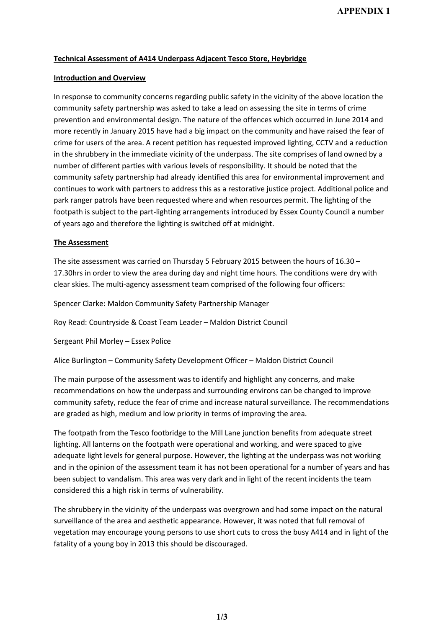# **Technical Assessment of A414 Underpass Adjacent Tesco Store, Heybridge**

## **Introduction and Overview**

In response to community concerns regarding public safety in the vicinity of the above location the community safety partnership was asked to take a lead on assessing the site in terms of crime prevention and environmental design. The nature of the offences which occurred in June 2014 and more recently in January 2015 have had a big impact on the community and have raised the fear of crime for users of the area. A recent petition has requested improved lighting, CCTV and a reduction in the shrubbery in the immediate vicinity of the underpass. The site comprises of land owned by a number of different parties with various levels of responsibility. It should be noted that the community safety partnership had already identified this area for environmental improvement and continues to work with partners to address this as a restorative justice project. Additional police and park ranger patrols have been requested where and when resources permit. The lighting of the footpath is subject to the part-lighting arrangements introduced by Essex County Council a number of years ago and therefore the lighting is switched off at midnight.

## **The Assessment**

The site assessment was carried on Thursday 5 February 2015 between the hours of 16.30 – 17.30hrs in order to view the area during day and night time hours. The conditions were dry with clear skies. The multi-agency assessment team comprised of the following four officers:

Spencer Clarke: Maldon Community Safety Partnership Manager

Roy Read: Countryside & Coast Team Leader – Maldon District Council

Sergeant Phil Morley – Essex Police

Alice Burlington – Community Safety Development Officer – Maldon District Council

The main purpose of the assessment was to identify and highlight any concerns, and make recommendations on how the underpass and surrounding environs can be changed to improve community safety, reduce the fear of crime and increase natural surveillance. The recommendations are graded as high, medium and low priority in terms of improving the area.

The footpath from the Tesco footbridge to the Mill Lane junction benefits from adequate street lighting. All lanterns on the footpath were operational and working, and were spaced to give adequate light levels for general purpose. However, the lighting at the underpass was not working and in the opinion of the assessment team it has not been operational for a number of years and has been subject to vandalism. This area was very dark and in light of the recent incidents the team considered this a high risk in terms of vulnerability.

The shrubbery in the vicinity of the underpass was overgrown and had some impact on the natural surveillance of the area and aesthetic appearance. However, it was noted that full removal of vegetation may encourage young persons to use short cuts to cross the busy A414 and in light of the fatality of a young boy in 2013 this should be discouraged.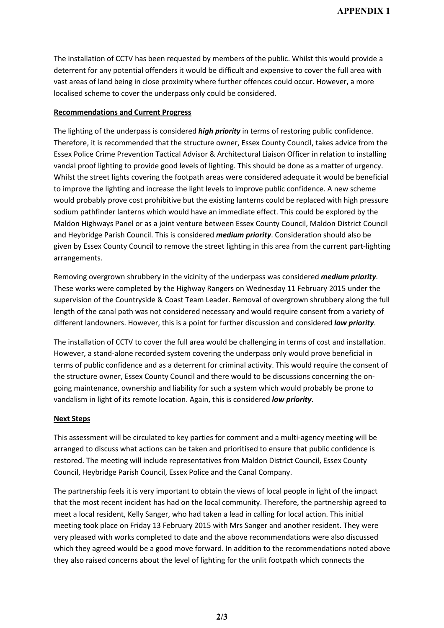The installation of CCTV has been requested by members of the public. Whilst this would provide a deterrent for any potential offenders it would be difficult and expensive to cover the full area with vast areas of land being in close proximity where further offences could occur. However, a more localised scheme to cover the underpass only could be considered.

### **Recommendations and Current Progress**

The lighting of the underpass is considered *high priority* in terms of restoring public confidence. Therefore, it is recommended that the structure owner, Essex County Council, takes advice from the Essex Police Crime Prevention Tactical Advisor & Architectural Liaison Officer in relation to installing vandal proof lighting to provide good levels of lighting. This should be done as a matter of urgency. Whilst the street lights covering the footpath areas were considered adequate it would be beneficial to improve the lighting and increase the light levels to improve public confidence. A new scheme would probably prove cost prohibitive but the existing lanterns could be replaced with high pressure sodium pathfinder lanterns which would have an immediate effect. This could be explored by the Maldon Highways Panel or as a joint venture between Essex County Council, Maldon District Council and Heybridge Parish Council. This is considered *medium priority*. Consideration should also be given by Essex County Council to remove the street lighting in this area from the current part-lighting arrangements.

Removing overgrown shrubbery in the vicinity of the underpass was considered *medium priority*. These works were completed by the Highway Rangers on Wednesday 11 February 2015 under the supervision of the Countryside & Coast Team Leader. Removal of overgrown shrubbery along the full length of the canal path was not considered necessary and would require consent from a variety of different landowners. However, this is a point for further discussion and considered *low priority*.

The installation of CCTV to cover the full area would be challenging in terms of cost and installation. However, a stand-alone recorded system covering the underpass only would prove beneficial in terms of public confidence and as a deterrent for criminal activity. This would require the consent of the structure owner, Essex County Council and there would to be discussions concerning the ongoing maintenance, ownership and liability for such a system which would probably be prone to vandalism in light of its remote location. Again, this is considered *low priority*.

#### **Next Steps**

This assessment will be circulated to key parties for comment and a multi-agency meeting will be arranged to discuss what actions can be taken and prioritised to ensure that public confidence is restored. The meeting will include representatives from Maldon District Council, Essex County Council, Heybridge Parish Council, Essex Police and the Canal Company.

The partnership feels it is very important to obtain the views of local people in light of the impact that the most recent incident has had on the local community. Therefore, the partnership agreed to meet a local resident, Kelly Sanger, who had taken a lead in calling for local action. This initial meeting took place on Friday 13 February 2015 with Mrs Sanger and another resident. They were very pleased with works completed to date and the above recommendations were also discussed which they agreed would be a good move forward. In addition to the recommendations noted above they also raised concerns about the level of lighting for the unlit footpath which connects the